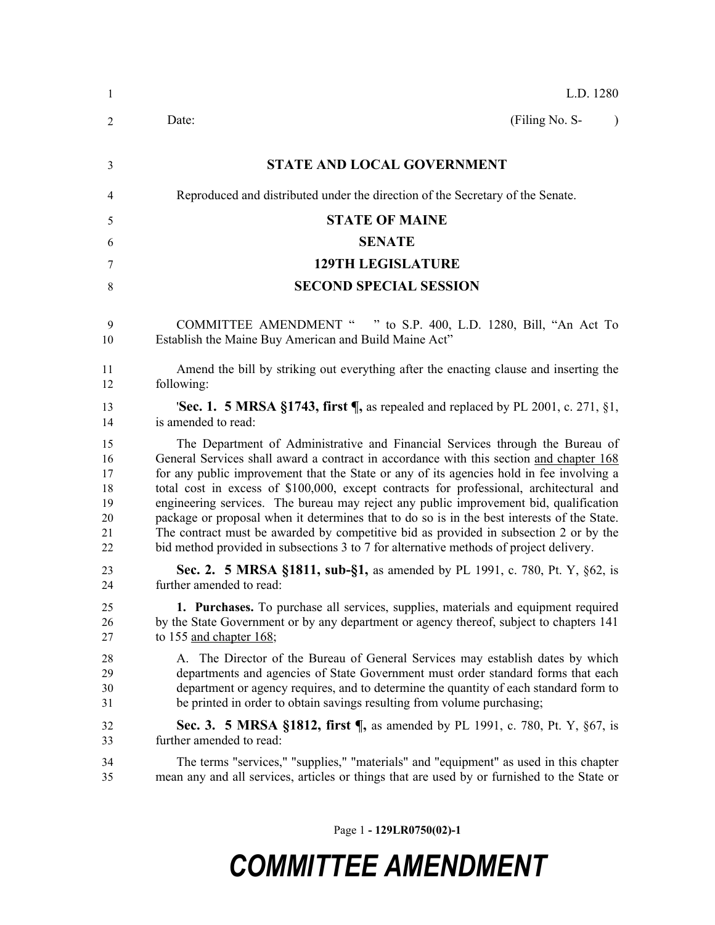| L.D. 1280                                                                                                                                                                                                                                                                                                                                                                                                                                                                                                                                                                                                                                                                                                                                  |
|--------------------------------------------------------------------------------------------------------------------------------------------------------------------------------------------------------------------------------------------------------------------------------------------------------------------------------------------------------------------------------------------------------------------------------------------------------------------------------------------------------------------------------------------------------------------------------------------------------------------------------------------------------------------------------------------------------------------------------------------|
| (Filing No. S-<br>Date:<br>$\lambda$                                                                                                                                                                                                                                                                                                                                                                                                                                                                                                                                                                                                                                                                                                       |
| <b>STATE AND LOCAL GOVERNMENT</b>                                                                                                                                                                                                                                                                                                                                                                                                                                                                                                                                                                                                                                                                                                          |
| Reproduced and distributed under the direction of the Secretary of the Senate.                                                                                                                                                                                                                                                                                                                                                                                                                                                                                                                                                                                                                                                             |
| <b>STATE OF MAINE</b>                                                                                                                                                                                                                                                                                                                                                                                                                                                                                                                                                                                                                                                                                                                      |
| <b>SENATE</b>                                                                                                                                                                                                                                                                                                                                                                                                                                                                                                                                                                                                                                                                                                                              |
| <b>129TH LEGISLATURE</b>                                                                                                                                                                                                                                                                                                                                                                                                                                                                                                                                                                                                                                                                                                                   |
| <b>SECOND SPECIAL SESSION</b>                                                                                                                                                                                                                                                                                                                                                                                                                                                                                                                                                                                                                                                                                                              |
| COMMITTEE AMENDMENT " " to S.P. 400, L.D. 1280, Bill, "An Act To<br>Establish the Maine Buy American and Build Maine Act"                                                                                                                                                                                                                                                                                                                                                                                                                                                                                                                                                                                                                  |
| Amend the bill by striking out everything after the enacting clause and inserting the<br>following:                                                                                                                                                                                                                                                                                                                                                                                                                                                                                                                                                                                                                                        |
| <b>'Sec. 1. 5 MRSA §1743, first <math>\P</math></b> , as repealed and replaced by PL 2001, c. 271, §1,<br>is amended to read:                                                                                                                                                                                                                                                                                                                                                                                                                                                                                                                                                                                                              |
| The Department of Administrative and Financial Services through the Bureau of<br>General Services shall award a contract in accordance with this section and chapter 168<br>for any public improvement that the State or any of its agencies hold in fee involving a<br>total cost in excess of \$100,000, except contracts for professional, architectural and<br>engineering services. The bureau may reject any public improvement bid, qualification<br>package or proposal when it determines that to do so is in the best interests of the State.<br>The contract must be awarded by competitive bid as provided in subsection 2 or by the<br>bid method provided in subsections 3 to 7 for alternative methods of project delivery. |
| <b>Sec. 2. 5 MRSA §1811, sub-§1, as amended by PL 1991, c. 780, Pt. Y, §62, is</b><br>further amended to read:                                                                                                                                                                                                                                                                                                                                                                                                                                                                                                                                                                                                                             |
| 1. Purchases. To purchase all services, supplies, materials and equipment required<br>by the State Government or by any department or agency thereof, subject to chapters 141<br>to 155 and chapter 168;                                                                                                                                                                                                                                                                                                                                                                                                                                                                                                                                   |
| A. The Director of the Bureau of General Services may establish dates by which<br>departments and agencies of State Government must order standard forms that each<br>department or agency requires, and to determine the quantity of each standard form to<br>be printed in order to obtain savings resulting from volume purchasing;                                                                                                                                                                                                                                                                                                                                                                                                     |
| <b>Sec. 3. 5 MRSA §1812, first </b> , as amended by PL 1991, c. 780, Pt. Y, §67, is<br>further amended to read:                                                                                                                                                                                                                                                                                                                                                                                                                                                                                                                                                                                                                            |
| The terms "services," "supplies," "materials" and "equipment" as used in this chapter<br>mean any and all services, articles or things that are used by or furnished to the State or                                                                                                                                                                                                                                                                                                                                                                                                                                                                                                                                                       |
|                                                                                                                                                                                                                                                                                                                                                                                                                                                                                                                                                                                                                                                                                                                                            |

Page 1 **- 129LR0750(02)-1**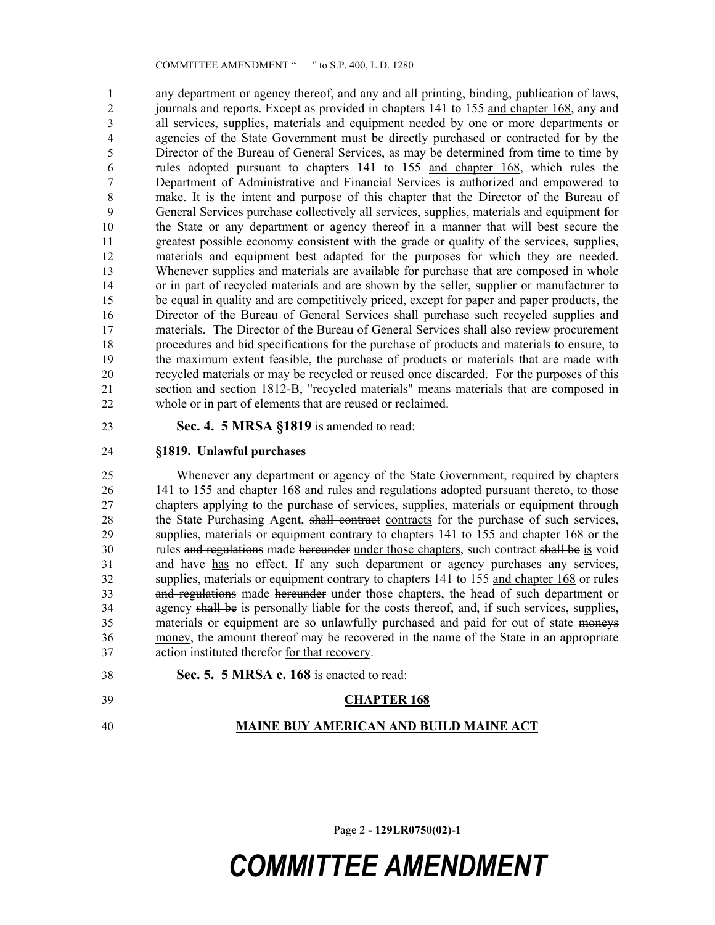any department or agency thereof, and any and all printing, binding, publication of laws, journals and reports. Except as provided in chapters 141 to 155 and chapter 168, any and all services, supplies, materials and equipment needed by one or more departments or agencies of the State Government must be directly purchased or contracted for by the Director of the Bureau of General Services, as may be determined from time to time by rules adopted pursuant to chapters 141 to 155 and chapter 168, which rules the Department of Administrative and Financial Services is authorized and empowered to make. It is the intent and purpose of this chapter that the Director of the Bureau of General Services purchase collectively all services, supplies, materials and equipment for the State or any department or agency thereof in a manner that will best secure the greatest possible economy consistent with the grade or quality of the services, supplies, materials and equipment best adapted for the purposes for which they are needed. Whenever supplies and materials are available for purchase that are composed in whole or in part of recycled materials and are shown by the seller, supplier or manufacturer to be equal in quality and are competitively priced, except for paper and paper products, the Director of the Bureau of General Services shall purchase such recycled supplies and materials. The Director of the Bureau of General Services shall also review procurement procedures and bid specifications for the purchase of products and materials to ensure, to the maximum extent feasible, the purchase of products or materials that are made with recycled materials or may be recycled or reused once discarded. For the purposes of this section and section 1812-B, "recycled materials" means materials that are composed in whole or in part of elements that are reused or reclaimed.

**Sec. 4. 5 MRSA §1819** is amended to read:

### **§1819. Unlawful purchases**

 Whenever any department or agency of the State Government, required by chapters 26 141 to 155 and chapter 168 and rules and regulations adopted pursuant thereto, to those chapters applying to the purchase of services, supplies, materials or equipment through 28 the State Purchasing Agent, shall contract contracts for the purchase of such services, supplies, materials or equipment contrary to chapters 141 to 155 and chapter 168 or the rules and regulations made hereunder under those chapters, such contract shall be is void and have has no effect. If any such department or agency purchases any services, supplies, materials or equipment contrary to chapters 141 to 155 and chapter 168 or rules and regulations made hereunder under those chapters, the head of such department or agency shall be is personally liable for the costs thereof, and, if such services, supplies, materials or equipment are so unlawfully purchased and paid for out of state moneys money, the amount thereof may be recovered in the name of the State in an appropriate action instituted therefor for that recovery.

**Sec. 5. 5 MRSA c. 168** is enacted to read:

### **CHAPTER 168**

**MAINE BUY AMERICAN AND BUILD MAINE ACT**

Page 2 **- 129LR0750(02)-1**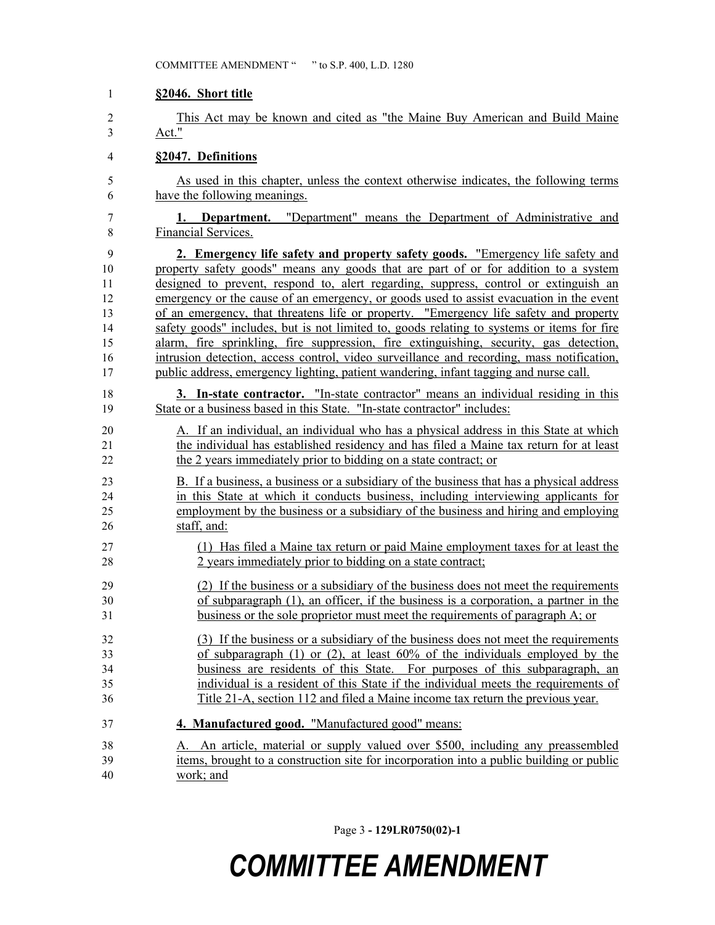#### **§2046. Short title**

 This Act may be known and cited as "the Maine Buy American and Build Maine Act."

#### **§2047. Definitions**

 As used in this chapter, unless the context otherwise indicates, the following terms have the following meanings.

 **1. Department.** "Department" means the Department of Administrative and Financial Services.

 **2. Emergency life safety and property safety goods.** "Emergency life safety and property safety goods" means any goods that are part of or for addition to a system designed to prevent, respond to, alert regarding, suppress, control or extinguish an emergency or the cause of an emergency, or goods used to assist evacuation in the event of an emergency, that threatens life or property. "Emergency life safety and property safety goods" includes, but is not limited to, goods relating to systems or items for fire alarm, fire sprinkling, fire suppression, fire extinguishing, security, gas detection, intrusion detection, access control, video surveillance and recording, mass notification, public address, emergency lighting, patient wandering, infant tagging and nurse call.

 **3. In-state contractor.** "In-state contractor" means an individual residing in this State or a business based in this State. "In-state contractor" includes:

 A. If an individual, an individual who has a physical address in this State at which the individual has established residency and has filed a Maine tax return for at least the 2 years immediately prior to bidding on a state contract; or

 B. If a business, a business or a subsidiary of the business that has a physical address in this State at which it conducts business, including interviewing applicants for employment by the business or a subsidiary of the business and hiring and employing staff, and:

- (1) Has filed a Maine tax return or paid Maine employment taxes for at least the 2 years immediately prior to bidding on a state contract;
- (2) If the business or a subsidiary of the business does not meet the requirements of subparagraph (1), an officer, if the business is a corporation, a partner in the business or the sole proprietor must meet the requirements of paragraph A; or
- (3) If the business or a subsidiary of the business does not meet the requirements of subparagraph (1) or (2), at least 60% of the individuals employed by the business are residents of this State. For purposes of this subparagraph, an individual is a resident of this State if the individual meets the requirements of Title 21-A, section 112 and filed a Maine income tax return the previous year.
- **4. Manufactured good.** "Manufactured good" means:
- A. An article, material or supply valued over \$500, including any preassembled items, brought to a construction site for incorporation into a public building or public work; and

Page 3 **- 129LR0750(02)-1**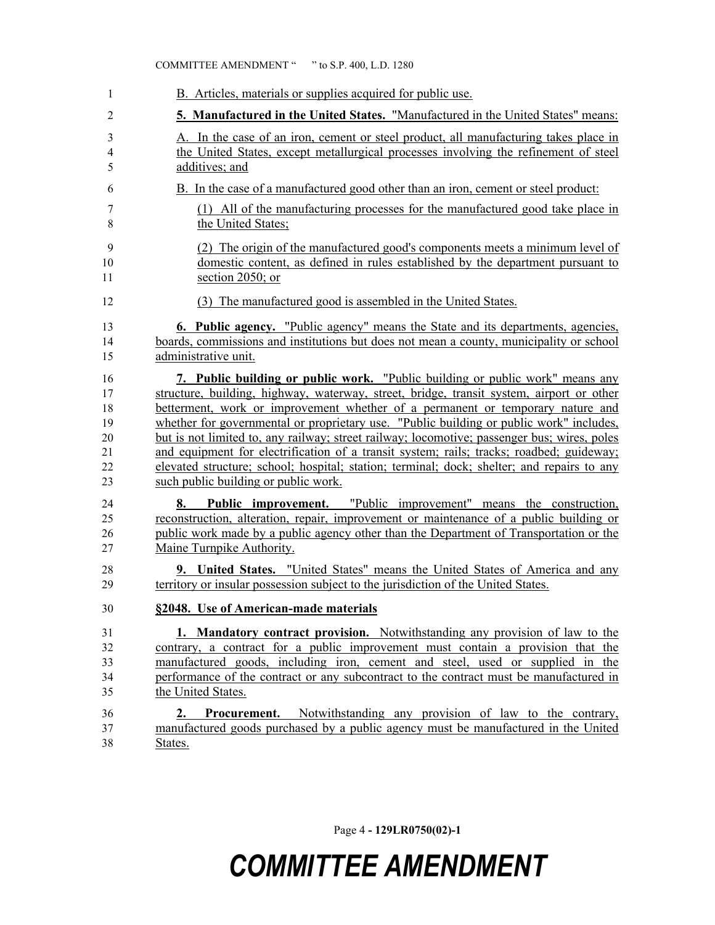| 1                       | B. Articles, materials or supplies acquired for public use.                                                                                                                                                                                                                             |
|-------------------------|-----------------------------------------------------------------------------------------------------------------------------------------------------------------------------------------------------------------------------------------------------------------------------------------|
| 2                       | 5. Manufactured in the United States. "Manufactured in the United States" means:                                                                                                                                                                                                        |
| 3                       | A. In the case of an iron, cement or steel product, all manufacturing takes place in                                                                                                                                                                                                    |
| $\overline{\mathbf{4}}$ | the United States, except metallurgical processes involving the refinement of steel                                                                                                                                                                                                     |
| 5                       | additives; and                                                                                                                                                                                                                                                                          |
| 6                       | B. In the case of a manufactured good other than an iron, cement or steel product:                                                                                                                                                                                                      |
| 7                       | (1) All of the manufacturing processes for the manufactured good take place in                                                                                                                                                                                                          |
| 8                       | the United States:                                                                                                                                                                                                                                                                      |
| 9                       | (2) The origin of the manufactured good's components meets a minimum level of                                                                                                                                                                                                           |
| 10                      | domestic content, as defined in rules established by the department pursuant to                                                                                                                                                                                                         |
| 11                      | section 2050; or                                                                                                                                                                                                                                                                        |
| 12                      | (3) The manufactured good is assembled in the United States.                                                                                                                                                                                                                            |
| 13                      | <b>6. Public agency.</b> "Public agency" means the State and its departments, agencies,                                                                                                                                                                                                 |
| 14                      | boards, commissions and institutions but does not mean a county, municipality or school                                                                                                                                                                                                 |
| 15                      | administrative unit.                                                                                                                                                                                                                                                                    |
| 16                      | 7. Public building or public work. "Public building or public work" means any                                                                                                                                                                                                           |
| 17                      | structure, building, highway, waterway, street, bridge, transit system, airport or other                                                                                                                                                                                                |
| 18                      | betterment, work or improvement whether of a permanent or temporary nature and                                                                                                                                                                                                          |
| 19                      | whether for governmental or proprietary use. "Public building or public work" includes,                                                                                                                                                                                                 |
| 20                      | but is not limited to, any railway; street railway; locomotive; passenger bus; wires, poles                                                                                                                                                                                             |
| 21                      | and equipment for electrification of a transit system; rails; tracks; roadbed; guideway;                                                                                                                                                                                                |
| 22                      | elevated structure; school; hospital; station; terminal; dock; shelter; and repairs to any                                                                                                                                                                                              |
| 23                      | such public building or public work.                                                                                                                                                                                                                                                    |
| 24<br>25<br>26<br>27    | Public improvement. "Public improvement" means the construction,<br>8.<br>reconstruction, alteration, repair, improvement or maintenance of a public building or<br>public work made by a public agency other than the Department of Transportation or the<br>Maine Turnpike Authority. |
| 28                      | 9. United States. "United States" means the United States of America and any                                                                                                                                                                                                            |
| 29                      | territory or insular possession subject to the jurisdiction of the United States.                                                                                                                                                                                                       |
| 30                      | §2048. Use of American-made materials                                                                                                                                                                                                                                                   |
| 31                      | 1. Mandatory contract provision. Notwithstanding any provision of law to the                                                                                                                                                                                                            |
| 32                      | contrary, a contract for a public improvement must contain a provision that the                                                                                                                                                                                                         |
| 33                      | manufactured goods, including iron, cement and steel, used or supplied in the                                                                                                                                                                                                           |
| 34                      | performance of the contract or any subcontract to the contract must be manufactured in                                                                                                                                                                                                  |
| 35                      | the United States.                                                                                                                                                                                                                                                                      |
| 36<br>37<br>38          | <b>Procurement.</b> Notwithstanding any provision of law to the contrary,<br>2.<br>manufactured goods purchased by a public agency must be manufactured in the United<br>States.                                                                                                        |

Page 4 **- 129LR0750(02)-1**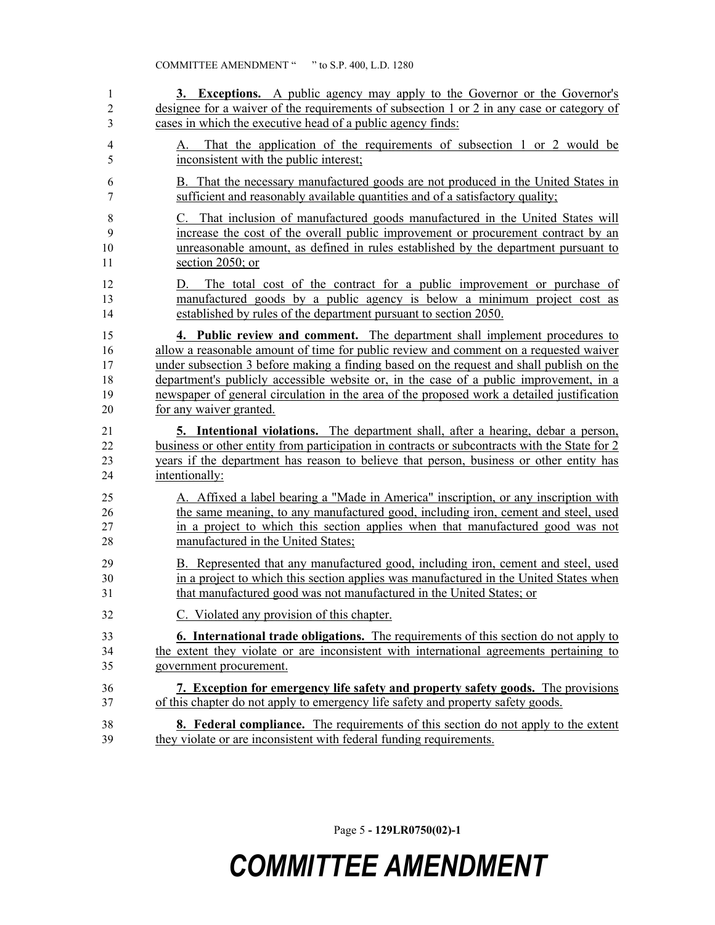| 1                             | 3. Exceptions. A public agency may apply to the Governor or the Governor's                                                                                                                                                   |
|-------------------------------|------------------------------------------------------------------------------------------------------------------------------------------------------------------------------------------------------------------------------|
| $\overline{2}$                | designee for a waiver of the requirements of subsection 1 or 2 in any case or category of                                                                                                                                    |
| 3                             | cases in which the executive head of a public agency finds:                                                                                                                                                                  |
| $\overline{\mathcal{A}}$<br>5 | That the application of the requirements of subsection 1 or 2 would be<br>А.<br>inconsistent with the public interest;                                                                                                       |
| 6                             | B. That the necessary manufactured goods are not produced in the United States in                                                                                                                                            |
| 7                             | sufficient and reasonably available quantities and of a satisfactory quality;                                                                                                                                                |
| $8\,$                         | C. That inclusion of manufactured goods manufactured in the United States will                                                                                                                                               |
| 9                             | increase the cost of the overall public improvement or procurement contract by an                                                                                                                                            |
| 10                            | unreasonable amount, as defined in rules established by the department pursuant to                                                                                                                                           |
| 11                            | section 2050; or                                                                                                                                                                                                             |
| 12<br>13<br>14                | The total cost of the contract for a public improvement or purchase of<br>D.<br>manufactured goods by a public agency is below a minimum project cost as<br>established by rules of the department pursuant to section 2050. |
| 15                            | 4. Public review and comment. The department shall implement procedures to                                                                                                                                                   |
| 16                            | allow a reasonable amount of time for public review and comment on a requested waiver                                                                                                                                        |
| 17                            | under subsection 3 before making a finding based on the request and shall publish on the                                                                                                                                     |
| 18                            | department's publicly accessible website or, in the case of a public improvement, in a                                                                                                                                       |
| 19                            | newspaper of general circulation in the area of the proposed work a detailed justification                                                                                                                                   |
| 20                            | for any waiver granted.                                                                                                                                                                                                      |
| 21                            | <b>5.</b> Intentional violations. The department shall, after a hearing, debar a person,                                                                                                                                     |
| 22                            | business or other entity from participation in contracts or subcontracts with the State for 2                                                                                                                                |
| 23                            | years if the department has reason to believe that person, business or other entity has                                                                                                                                      |
| 24                            | intentionally:                                                                                                                                                                                                               |
| 25                            | A. Affixed a label bearing a "Made in America" inscription, or any inscription with                                                                                                                                          |
| 26                            | the same meaning, to any manufactured good, including iron, cement and steel, used                                                                                                                                           |
| 27                            | in a project to which this section applies when that manufactured good was not                                                                                                                                               |
| 28                            | manufactured in the United States;                                                                                                                                                                                           |
| 29                            | B. Represented that any manufactured good, including iron, cement and steel, used                                                                                                                                            |
| 30                            | in a project to which this section applies was manufactured in the United States when                                                                                                                                        |
| 31                            | that manufactured good was not manufactured in the United States; or                                                                                                                                                         |
| 32                            | Violated any provision of this chapter.                                                                                                                                                                                      |
| 33                            | <b>6. International trade obligations.</b> The requirements of this section do not apply to                                                                                                                                  |
| 34                            | the extent they violate or are inconsistent with international agreements pertaining to                                                                                                                                      |
| 35                            | government procurement.                                                                                                                                                                                                      |
| 36                            | 7. Exception for emergency life safety and property safety goods. The provisions                                                                                                                                             |
| 37                            | of this chapter do not apply to emergency life safety and property safety goods.                                                                                                                                             |
| 38                            | <b>8.</b> Federal compliance. The requirements of this section do not apply to the extent                                                                                                                                    |
| 39                            | they violate or are inconsistent with federal funding requirements.                                                                                                                                                          |

Page 5 **- 129LR0750(02)-1**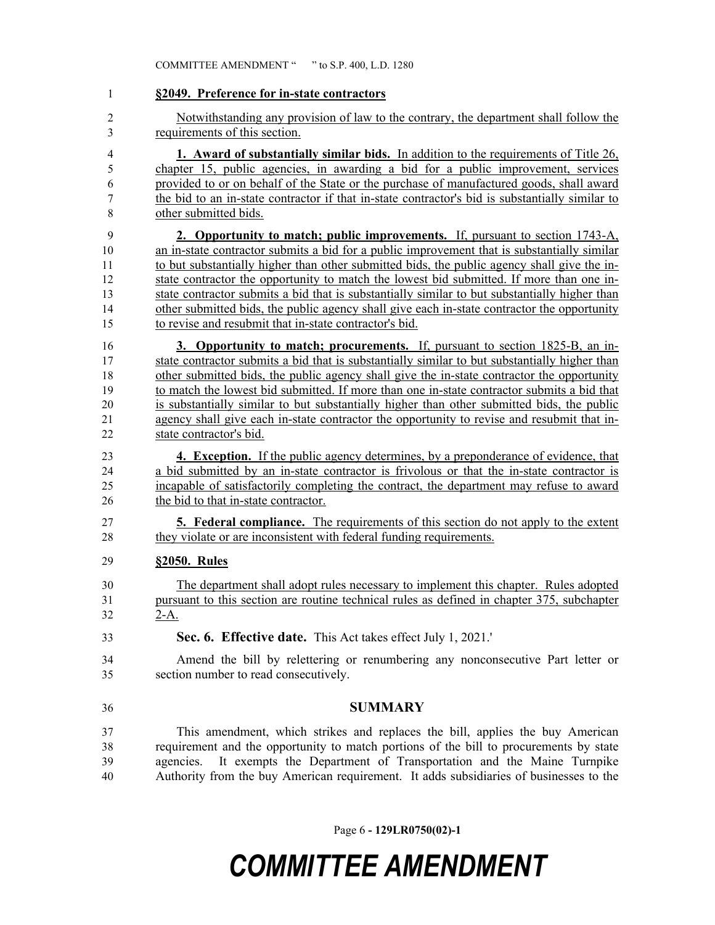| 1                   | §2049. Preference for in-state contractors                                                                             |
|---------------------|------------------------------------------------------------------------------------------------------------------------|
| $\overline{c}$<br>3 | Notwithstanding any provision of law to the contrary, the department shall follow the<br>requirements of this section. |
| 4                   | <b>1. Award of substantially similar bids.</b> In addition to the requirements of Title 26,                            |
| 5                   | chapter 15, public agencies, in awarding a bid for a public improvement, services                                      |
| 6                   | provided to or on behalf of the State or the purchase of manufactured goods, shall award                               |
| 7                   | the bid to an in-state contractor if that in-state contractor's bid is substantially similar to                        |
| 8                   | other submitted bids.                                                                                                  |
| 9                   | 2. Opportunity to match; public improvements. If, pursuant to section 1743-A,                                          |
| 10                  | an in-state contractor submits a bid for a public improvement that is substantially similar                            |
| 11                  | to but substantially higher than other submitted bids, the public agency shall give the in-                            |
| 12                  | state contractor the opportunity to match the lowest bid submitted. If more than one in-                               |
| 13                  | state contractor submits a bid that is substantially similar to but substantially higher than                          |
| 14                  | other submitted bids, the public agency shall give each in-state contractor the opportunity                            |
| 15                  | to revise and resubmit that in-state contractor's bid.                                                                 |
| 16                  | 3. Opportunity to match; procurements. If, pursuant to section 1825-B, an in-                                          |
| 17                  | state contractor submits a bid that is substantially similar to but substantially higher than                          |
| 18                  | other submitted bids, the public agency shall give the in-state contractor the opportunity                             |
| 19                  | to match the lowest bid submitted. If more than one in-state contractor submits a bid that                             |
| 20                  | is substantially similar to but substantially higher than other submitted bids, the public                             |
| 21                  | agency shall give each in-state contractor the opportunity to revise and resubmit that in-                             |
| 22                  | state contractor's bid.                                                                                                |
| 23                  | <b>4. Exception.</b> If the public agency determines, by a preponderance of evidence, that                             |
| 24                  | a bid submitted by an in-state contractor is frivolous or that the in-state contractor is                              |
| 25                  | incapable of satisfactorily completing the contract, the department may refuse to award                                |
| 26                  | the bid to that in-state contractor.                                                                                   |
| 27                  | <b>5. Federal compliance.</b> The requirements of this section do not apply to the extent                              |
| 28                  | they violate or are inconsistent with federal funding requirements.                                                    |
| 29                  | §2050. Rules                                                                                                           |
| 30                  | The department shall adopt rules necessary to implement this chapter. Rules adopted                                    |
| 31                  | pursuant to this section are routine technical rules as defined in chapter 375, subchapter                             |
| 32                  | $2-A$ .                                                                                                                |
|                     |                                                                                                                        |
| 33                  | Sec. 6. Effective date. This Act takes effect July 1, 2021.                                                            |
| 34                  | Amend the bill by relettering or renumbering any nonconsecutive Part letter or                                         |
| 35                  | section number to read consecutively.                                                                                  |
| 36                  | <b>SUMMARY</b>                                                                                                         |
| 37                  | This amendment, which strikes and replaces the bill, applies the buy American                                          |
| 38                  | requirement and the opportunity to match portions of the bill to procurements by state                                 |
| 39                  | It exempts the Department of Transportation and the Maine Turnpike<br>agencies.                                        |
| 40                  | Authority from the buy American requirement. It adds subsidiaries of businesses to the                                 |

Page 6 **- 129LR0750(02)-1**